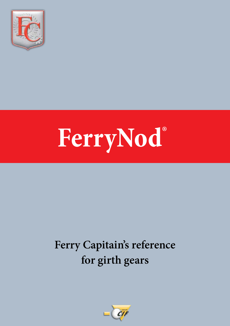

# **FerryNod®**

## **Ferry Capitain's reference for girth gears**

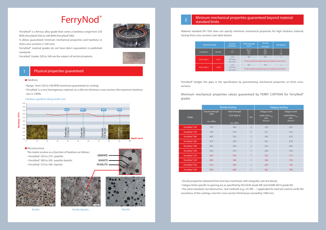





#### **Microstructure**

The matrix evolves as a function of hardness as follows :





- FerryNod® 250 to 270 : pearlitic
- FerryNod® 280 to 300 : pearlito-bainitic
- FerryNod® 310 to 340 : bainitic



#### 1 Physical properties guaranteed

#### **Hardness**

# **FerryNod®**

FerryNod® is a ferrous alloy grade that covers a hardness range from 250 BHN (FerryNod®250) to 340 BHN (FerryNod®340).

## Mininum mechanical properties guaranteed beyond material 2 | **Infirmation** lines

It allows guaranteed minimum mechanical properties and hardness in thick cross-sections (>100 mm).

FerryNod® material grades do not have direct equivalents in published standards.

FerryNod® Grades 320 to 340 are the subject of technical patents.





- Range : from 250 to 340 BHN (minimum guaranteed on casting)
- FerryNod® is a very homogenous material: on a 200 mm thickness cross-section, the maximum hardness loss is 5 BHN.

#### Hardness gradient along tooth root

• Tensile properties obtained from test bars machined, with integrally-cast test blocks. • Fatigue limits specific to gearing are as specified by ISO 6336 Grade ME and AGMA 6014 grade M2. • The same standard, non destructive , test methods (e.g., UT, MP, …) applicable for steel are used to verify the soundness of the castings, even for cross-section thicknesses exceeding 1000 mm.

Material standard EN 1563 does not specify minimum mechanical properties for high hardness material, having thick cross-sections (see table below).

| <b>Material Grade</b> |        | <b>Section</b><br>thickness           | <b>Yield strength</b><br>0.2%                                             | <b>Tensile</b><br>Strength                                         | Elongation                              |
|-----------------------|--------|---------------------------------------|---------------------------------------------------------------------------|--------------------------------------------------------------------|-----------------------------------------|
| Designation           | Number | ŧ<br>mm                               | Rp 0,2<br><b>MPa</b><br>min.                                              | Rm<br><b>MPa</b><br>min.                                           | $\overline{A}$<br>$\frac{9}{6}$<br>min. |
| EN-GJS-800-2          | 5.3301 | t < 30<br>30 < t < 60<br>60 < t < 200 | 480<br>800<br>* To be specified and agreed upon by supplier and purchaser |                                                                    |                                         |
| EN-GJS-900-2          | 5.3302 | t < 30<br>30 < t < 60<br>60 < t < 200 | 600                                                                       | 900<br>* To be specified and agreed upon by supplier and purchaser |                                         |

FerryNod® bridges the gaps in the specification by guaranteeing mechanical properties on thick crosssections.

|                           | Tensile testing          |                       |                | <b>Fatigue testing</b>                                            |                                                                    |  |
|---------------------------|--------------------------|-----------------------|----------------|-------------------------------------------------------------------|--------------------------------------------------------------------|--|
| Grade                     | Tensile Strength<br>(Rm) | <b>Yield Strength</b> |                | <b>Fatique Limit</b>                                              | <b>Fatique Limit</b>                                               |  |
|                           |                          | 0,2% (Rp0,2)          | $A\%$          | tooth root $\sigma_{\text{film}}$<br>min.<br>(N/mm <sup>2</sup> ) | tooth flank $\sigma_{\text{film}}$<br>min.<br>(N/mm <sup>2</sup> ) |  |
|                           | min. (MPa)               | min. (MPa)            |                |                                                                   |                                                                    |  |
| FerryNod® 250             | 750                      | 540                   | $\overline{3}$ | 229                                                               | 625                                                                |  |
| FerryNod <sup>®</sup> 270 | 790                      | 550                   | 3              | 237                                                               | 655                                                                |  |
| FerryNod <sup>®</sup> 280 | 800                      | 550                   | $\overline{2}$ | 240                                                               | 670                                                                |  |
| FerryNod® 285             | 810                      | 560                   | $\overline{2}$ | 242                                                               | 678                                                                |  |
| FerryNod <sup>®</sup> 290 | 820                      | 560                   | $\overline{2}$ | 244                                                               | 685                                                                |  |
| FerryNod <sup>®</sup> 300 | 850                      | 570                   | $\mathbf{1}$   | 248                                                               | 700                                                                |  |
| FerryNod® 310             | 870                      | 570                   | 1              | 252                                                               | 715                                                                |  |
| FerryNod <sup>®</sup> 320 | 890                      | 580                   | 1              | 256                                                               | 730                                                                |  |
| FerryNod <sup>®</sup> 330 | 910                      | 590                   | 1              | 259                                                               | 745                                                                |  |
| FerryNod <sup>®</sup> 340 | 930                      | 600                   | 1              | 263                                                               | 760                                                                |  |

Minimum mechanical properties values guaranteed by FERRY CAPITAIN for FerryNod® grades